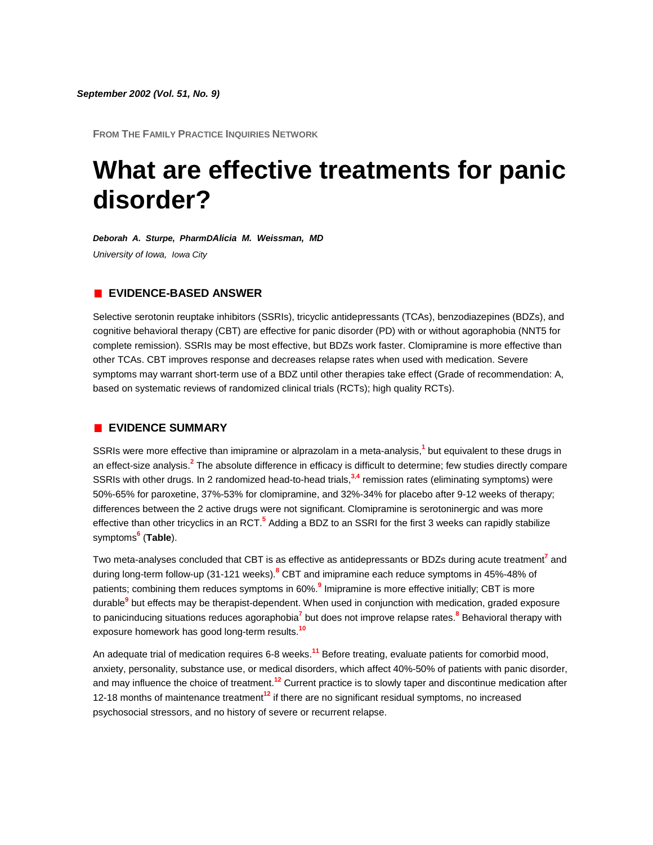**FROM THE FAMILY PRACTICE INQUIRIES NETWORK**

# **What are effective treatments for panic disorder?**

*Deborah A. Sturpe, PharmDAlicia M. Weissman, MD University of Iowa, Iowa City*

#### **EVIDENCE-BASED ANSWER**

Selective serotonin reuptake inhibitors (SSRIs), tricyclic antidepressants (TCAs), benzodiazepines (BDZs), and cognitive behavioral therapy (CBT) are effective for panic disorder (PD) with or without agoraphobia (NNT5 for complete remission). SSRIs may be most effective, but BDZs work faster. Clomipramine is more effective than other TCAs. CBT improves response and decreases relapse rates when used with medication. Severe symptoms may warrant short-term use of a BDZ until other therapies take effect (Grade of recommendation: A, based on systematic reviews of randomized clinical trials (RCTs); high quality RCTs).

#### **EVIDENCE SUMMARY**

SSRIs were more effective than imipramine or alprazolam in a meta-analysi[s,](http://www.jfponline.com/Pages.asp?AID=1278&issue=September_2002&UID=#bib1)**<sup>1</sup>** but equivalent to these drugs in an effect-size analysis[.](http://www.jfponline.com/Pages.asp?AID=1278&issue=September_2002&UID=#bib2)**<sup>2</sup>** The absolute difference in efficacy is difficult to determine; few studies directly compare SSRIs with other drugs. In 2 randomized head-to-head trial[s,](http://www.jfponline.com/Pages.asp?AID=1278&issue=September_2002&UID=#bib3)**<sup>3</sup>**,**[4](http://www.jfponline.com/Pages.asp?AID=1278&issue=September_2002&UID=#bib4)** remission rates (eliminating symptoms) were 50%-65% for paroxetine, 37%-53% for clomipramine, and 32%-34% for placebo after 9-12 weeks of therapy; differences between the 2 active drugs were not significant. Clomipramine is serotoninergic and was more effective than other tricyclics in an RC[T.](http://www.jfponline.com/Pages.asp?AID=1278&issue=September_2002&UID=#bib5)**<sup>5</sup>** Adding a BDZ to an SSRI for the first 3 weeks can rapidly stabilize symptom[s](http://www.jfponline.com/Pages.asp?AID=1278&issue=September_2002&UID=#bib6)**<sup>6</sup>** (**[Table](http://www.jfponline.com/Pages.asp?AID=1278&issue=September_2002&UID=#5109JFP_ClinicalInquiries2-tab1)**).

Two meta-analyses concluded that CBT is as effective as antidepressants or BDZs during acute treatme[nt](http://www.jfponline.com/Pages.asp?AID=1278&issue=September_2002&UID=#bib7)**<sup>7</sup>** and during long-term follow-up (31-121 weeks[\).](http://www.jfponline.com/Pages.asp?AID=1278&issue=September_2002&UID=#bib8)**<sup>8</sup>** CBT and imipramine each reduce symptoms in 45%-48% of patients; combining them reduces symptoms in 60[%.](http://www.jfponline.com/Pages.asp?AID=1278&issue=September_2002&UID=#bib9)**<sup>9</sup>** Imipramine is more effective initially; CBT is more durable**[9](http://www.jfponline.com/Pages.asp?AID=1278&issue=September_2002&UID=#bib9)** but effects may be therapist-dependent. When used in conjunction with medication, graded exposure to panicinducing situations reduces agoraphobi[a](http://www.jfponline.com/Pages.asp?AID=1278&issue=September_2002&UID=#bib7)**<sup>7</sup>** but does not improve relapse rate[s.](http://www.jfponline.com/Pages.asp?AID=1278&issue=September_2002&UID=#bib8)**<sup>8</sup>** Behavioral therapy with exposure homework has good long-term results.**[10](http://www.jfponline.com/Pages.asp?AID=1278&issue=September_2002&UID=#bib10)**

An adequate trial of medication requires 6-8 weeks.**[11](http://www.jfponline.com/Pages.asp?AID=1278&issue=September_2002&UID=#bib11)** Before treating, evaluate patients for comorbid mood, anxiety, personality, substance use, or medical disorders, which affect 40%-50% of patients with panic disorder, and may influence the choice of treatment.**[12](http://www.jfponline.com/Pages.asp?AID=1278&issue=September_2002&UID=#bib12)** Current practice is to slowly taper and discontinue medication after 12-18 months of maintenance treatment**[12](http://www.jfponline.com/Pages.asp?AID=1278&issue=September_2002&UID=#bib12)** if there are no significant residual symptoms, no increased psychosocial stressors, and no history of severe or recurrent relapse.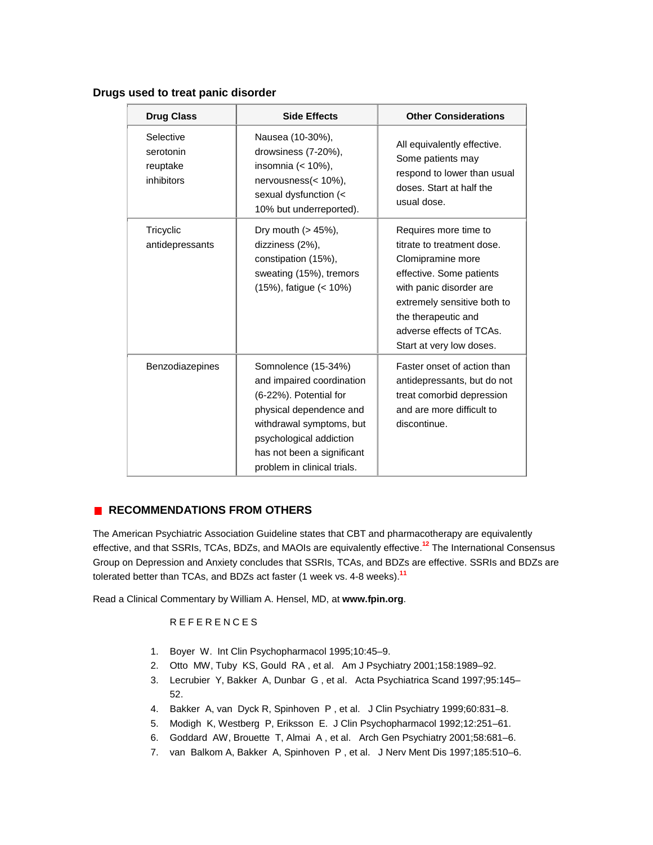| <b>Drug Class</b>                                | <b>Side Effects</b>                                                                                                                                                                                                       | <b>Other Considerations</b>                                                                                                                                                                                                                   |
|--------------------------------------------------|---------------------------------------------------------------------------------------------------------------------------------------------------------------------------------------------------------------------------|-----------------------------------------------------------------------------------------------------------------------------------------------------------------------------------------------------------------------------------------------|
| Selective<br>serotonin<br>reuptake<br>inhibitors | Nausea (10-30%),<br>drowsiness (7-20%),<br>insomnia (< 10%),<br>nervousness(< 10%),<br>sexual dysfunction (<<br>10% but underreported).                                                                                   | All equivalently effective.<br>Some patients may<br>respond to lower than usual<br>doses. Start at half the<br>usual dose.                                                                                                                    |
| Tricyclic<br>antidepressants                     | Dry mouth (> 45%),<br>dizziness (2%),<br>constipation (15%),<br>sweating (15%), tremors<br>(15%), fatigue (< 10%)                                                                                                         | Requires more time to<br>titrate to treatment dose.<br>Clomipramine more<br>effective. Some patients<br>with panic disorder are<br>extremely sensitive both to<br>the therapeutic and<br>adverse effects of TCAs.<br>Start at very low doses. |
| Benzodiazepines                                  | Somnolence (15-34%)<br>and impaired coordination<br>(6-22%). Potential for<br>physical dependence and<br>withdrawal symptoms, but<br>psychological addiction<br>has not been a significant<br>problem in clinical trials. | Faster onset of action than<br>antidepressants, but do not<br>treat comorbid depression<br>and are more difficult to<br>discontinue.                                                                                                          |

### **Drugs used to treat panic disorder**

## **RECOMMENDATIONS FROM OTHERS**

The American Psychiatric Association Guideline states that CBT and pharmacotherapy are equivalently effective, and that SSRIs, TCAs, BDZs, and MAOIs are equivalently effective.**[12](http://www.jfponline.com/Pages.asp?AID=1278&issue=September_2002&UID=#bib12)** The International Consensus Group on Depression and Anxiety concludes that SSRIs, TCAs, and BDZs are effective. SSRIs and BDZs are tolerated better than TCAs, and BDZs act faster (1 week vs. 4-8 weeks).**[11](http://www.jfponline.com/Pages.asp?AID=1278&issue=September_2002&UID=#bib11)**

Read a Clinical Commentary by William A. Hensel, MD, at **[www.fpin.org](http://www.fpin.org/)**.

# REFERENCES

- 1. Boyer W. Int Clin Psychopharmacol 1995;10:45–9.
- 2. Otto MW, Tuby KS, Gould RA , et al. Am J Psychiatry 2001;158:1989–92.
- 3. Lecrubier Y, Bakker A, Dunbar G , et al. Acta Psychiatrica Scand 1997;95:145– 52.
- 4. Bakker A, van Dyck R, Spinhoven P , et al. J Clin Psychiatry 1999;60:831–8.
- 5. Modigh K, Westberg P, Eriksson E. J Clin Psychopharmacol 1992;12:251–61.
- 6. Goddard AW, Brouette T, Almai A , et al. Arch Gen Psychiatry 2001;58:681–6.
- 7. van Balkom A, Bakker A, Spinhoven P , et al. J Nerv Ment Dis 1997;185:510–6.